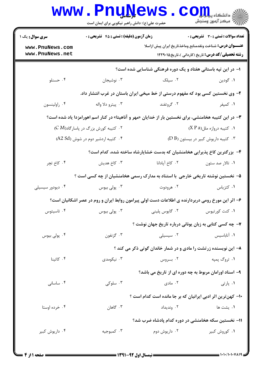|                                    | <b>WWW.PNUWEWS</b><br>حضرت علی(ع): دانش راهبر نیکویی برای ایمان است |                                                                                                       | : دانشڪاه پي <mark>ابلي</mark> و ک<br>أأأأ عركز آزمون وسنجش |
|------------------------------------|---------------------------------------------------------------------|-------------------------------------------------------------------------------------------------------|-------------------------------------------------------------|
| <b>سری سوال :</b> یک ۱             | زمان آزمون (دقیقه) : تستی : ۴۵ قشریحی : 0                           |                                                                                                       | <b>تعداد سوالات : تستي : 30 ٪ تشريحي : 0</b>                |
| www.PnuNews.com<br>www.PnuNews.net |                                                                     | <b>عنـــوان درس:</b> شناخت ونقدمنابع وماخذتاريخ ايران پيش ازاسلا                                      | <b>رشته تحصیلی/کد درس:</b> تاریخ (کاردانی )،تاریخ۱۲۲۹۰۱۵    |
|                                    |                                                                     | ا- در این تپه باستانی هفتاد و یک دوره فرهنگی شناسایی شده است؟                                         |                                                             |
| ۰۴ حسنلو                           | ۰۳ نوشیجان                                                          | ۰۲ سیلک                                                                                               | ۰۱ گودين                                                    |
|                                    |                                                                     | ۲- وی نخستین کسی بود که مفهوم درستی از خط میخی ایران باستان در غرب انتشار داد.                        |                                                             |
| ۰۴ راولينسون                       | ۰۳ پيترو دلا واله                                                   | ۰۲ گروتفند                                                                                            | ۰۱ کمپفر                                                    |
|                                    |                                                                     | ۳- در این کتیبه هخامنشی، برای نخستین بار از خدایان «مهر و آناهیتا» در کنار اسم اهورامزدا یاد شده است؟ |                                                             |
|                                    | ۰۲ کتیبه کورش بزرگ در پاسارگاد(C M)                                 |                                                                                                       | ۰۱ کتیبه دروازه ملل(X P a)                                  |
|                                    | ۰۴ کتیبه اردشیر دوم در شوش (A2 Sd)                                  |                                                                                                       | ۰۳ کتیبه داریوش کبیر در بیستون (D B)                        |
|                                    |                                                                     | ۴– بزرگترین کاخ پذیرایی هخامنشیان که بدست خشایارشاه ساخته شده، کدام است؟                              |                                                             |
| ۰۴ کاخ تچر                         | ۰۳ کاخ هدیش                                                         | ۰۲ کاخ آپادانا                                                                                        | ۰۱ تالار صد ستون                                            |
|                                    |                                                                     | ۵– نخستین نوشته تاریخی خارجی ًبا استناد به مدارک رسمی هخامنشیان از چه کسی است ؟                       |                                                             |
| ۰۴ دیودور سیسیلی                   | ۰۳ پولی بیوس                                                        | ۰۲ هرودوت                                                                                             | ۰۱ کتزیاس                                                   |
|                                    |                                                                     | ۶– اثر این مورخ رومی دربردارنده ی اطلاعات دست اولی پیرامون روابط ایران و روم در عصر اشکانیان است؟     |                                                             |
| ۰۴ تاسيتوس                         | بولى بيوس $\cdot^{\mathsf{v}}$                                      | ۰۲ گايوس پلينې                                                                                        | ۰۱ کنت کورتیوس                                              |
|                                    |                                                                     | ۷- چه کسی کتابی به زبان یونانی درباره تاریخ جهان نوشت ؟                                               |                                                             |
| ۰۴ پولی بیوس                       | ۰۳ گزنفون                                                           | ۰۲ سیسیلی                                                                                             | ٠١ آناباسيس                                                 |
|                                    |                                                                     | ۸– این نویسنده زرتشت را مادی و در شمار خاندان گوتی ذکر می کند ؟                                       |                                                             |
| ۰۴ کاتینا                          | ۰۳ نیکومدی                                                          | ۰۲ بروس                                                                                               | ۰۱ تروگ پمپه                                                |
|                                    |                                                                     | ۹- اسناد اورامان مربوط به چه دوره ای از تاریخ می باشد؟                                                |                                                             |
| ۰۴ ساسانی                          | ۰۳ سلوکی                                                            | ۰۲ مادی                                                                                               | ۰۱ پارتی                                                    |
|                                    |                                                                     | ۱۰– کهن ترین اثر ادبی ایرانیان که بر جا مانده است کدام است ؟                                          |                                                             |
| ۰۴ خرده اوستا                      | ۰۳ گاهان                                                            | ۰۲ وندیداد                                                                                            | ۰۱ يشت ها                                                   |
|                                    |                                                                     | 1۱– نخستین سکه هخامنشی در دوره کدام پادشاه ضرب شد؟                                                    |                                                             |
| ۰۴ داریوش کبیر                     | ۰۳ کمبوجیه                                                          | ۰۲ داریوش دوم                                                                                         | ۰۱ کوروش کبیر                                               |
|                                    |                                                                     |                                                                                                       |                                                             |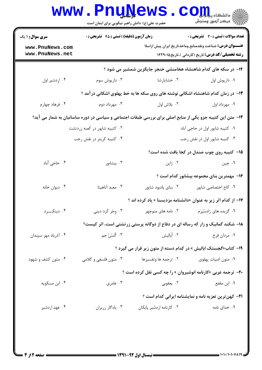| <b>سری سوال : ۱ یک</b>             | زمان آزمون (دقیقه) : تستی : ۴۵ قشریحی : 0 |                                                                                                           | <b>تعداد سوالات : تستي : 30 ٪ تشريحي : 0</b>                                                                                 |  |
|------------------------------------|-------------------------------------------|-----------------------------------------------------------------------------------------------------------|------------------------------------------------------------------------------------------------------------------------------|--|
| www.PnuNews.com<br>www.PnuNews.net |                                           |                                                                                                           | <b>عنـــوان درس:</b> شناخت ونقدمنابع وماخذتاريخ ايران پيش ازاسلا<br><b>رشته تحصیلی/کد درس:</b> تاریخ (کاردانی )،تاریخ۱۲۲۹۰۱۵ |  |
|                                    |                                           | ۱۲– در سکه های کدام شاهنشاه هخامنشی خنجر جایگزین شمشیر می شود ؟                                           |                                                                                                                              |  |
| ۰۴ اردشیر اول                      | ۰۳ داریوش سوم                             | ۰۲ خشایارشا                                                                                               | ٠١ داريوش اول                                                                                                                |  |
|                                    |                                           | ۱۳- در زمان کدام شاهنشاه اشکانی نوشته های روی سکه ها به خط پهلوی اشکانی درآمد ؟                           |                                                                                                                              |  |
| ۰۴ فرهاد چهارم                     | ۰۳ مهرداد دوم                             | ٠٢ بلاش اول                                                                                               | ٠١ مهرداد اول                                                                                                                |  |
|                                    |                                           | ۱۴– متن این کتیبه جزو یکی از منابع اصلی برای بررسی طبقات اجتماعی و سیاسی در دوره ساسانیان به شمار می آید؟ |                                                                                                                              |  |
| ۰۲ کتیبه شاپور در کعبه زردتشت      |                                           |                                                                                                           | ٠١. كتيبه شاپور اول در حاجي آباد                                                                                             |  |
| ۰۴ کتیبه کریتر در نقش رجب          |                                           |                                                                                                           | ۰۳ کتیبه شاپور اول در نقش رجب                                                                                                |  |
|                                    |                                           |                                                                                                           | ۰۱۵ کتیبه روی چوب صندل در کجا یافت شده است؟                                                                                  |  |
| ۰۴ حاجی أباد                       | ۰۳ بیشابور                                | ۰۲ ژاپن                                                                                                   | ۰۱ چين                                                                                                                       |  |
|                                    |                                           |                                                                                                           | ۱۶– مهمترین بنای مجموعه بیشابور کدام است ؟                                                                                   |  |
| ۰۴ دیوان خانه                      | ۰۳ معبد آناهیتا                           | ۰۲ بنای یادبود شاپور                                                                                      | ۰۱ کاخ اختصاصی شاپور                                                                                                         |  |
|                                    |                                           | ۱۷– از کدام اثر زیر به عنوان «دانشنامه مزدیسنا » یاد کرده اند ؟                                           |                                                                                                                              |  |
| ۰۴ دينکــــرد                      | ۰۳ وجَر کَرد دینی                         | ۰۲ نامه های منوچهر                                                                                        | ۰۱ گزیده های زادسٌپَرَم                                                                                                      |  |
|                                    |                                           | ۱۸- شکند گمانیک و زار که رساله ای در دفاع از دوگانه پرستی زرتشتی است، اثر کیست؟                           |                                                                                                                              |  |
| ۰۴ آذرباد مهر سپندان               | ۰۳ گُسُنُ جم                              | ۰۲ أباليش                                                                                                 | ۰۱ مردان فرخ                                                                                                                 |  |
|                                    |                                           | ۱۹- کتاب«گجستک ابالیش » در کدام دسته از متون زیر قرار می گیرد ؟                                           |                                                                                                                              |  |
| ۰۴ متون کشف و شهود                 | ۰۳ متون فلسفی و کلامی                     | ۰۲ ترجمه ها وتفسيرها                                                                                      | ۰۱ متون ادبیات پهلوی                                                                                                         |  |
|                                    |                                           | <b>۰۲-</b> ترجمه عربی «کارنامه انوشیروان » را چه کسی نقل کرده است ؟                                       |                                                                                                                              |  |
| ۰۴ ابن مسکویه                      | ۰۳ عامری                                  | ۰۲ يعقوبي                                                                                                 | ۰۱ ابن مقفع                                                                                                                  |  |
|                                    |                                           |                                                                                                           | <b>٢١- كهن ترين تعزيه نامه و نمايشنامه ايراني كدام است</b> ؟                                                                 |  |
| ۰۴ عهد اردشير                      | ۰۳ يادگار زريران                          | ۰۲ کارنامه اردشیر پاپکان                                                                                  | ۰۱ خدای نامه                                                                                                                 |  |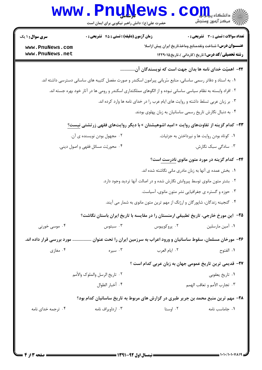| <b>سری سوال : ۱ یک</b>             | زمان آزمون (دقیقه) : تستی : 45 آتشریحی : 0                                                                     |               | <b>تعداد سوالات : تستی : 30 ٪ تشریحی : 0</b>                                                                                 |
|------------------------------------|----------------------------------------------------------------------------------------------------------------|---------------|------------------------------------------------------------------------------------------------------------------------------|
| www.PnuNews.com<br>www.PnuNews.net |                                                                                                                |               | <b>عنـــوان درس:</b> شناخت ونقدمنابع وماخذتاريخ ايران پيش ازاسلا<br><b>رشته تحصیلی/کد درس:</b> تاریخ (کاردانی )،تاریخ۱۲۲۹۰۱۵ |
|                                    |                                                                                                                |               |                                                                                                                              |
|                                    |                                                                                                                |               | ٢٢- اهميّت خداي نامه ها بدان جهت است كه نويسندگان آن                                                                         |
|                                    | ۰۱ به اسناد و دفاتر رسمی ساسانی، منابع سُریانی پیرامون اسکندر و صورت مفصل کتیبه های ساسانی دسترسی داشته اند.   |               |                                                                                                                              |
|                                    | ۲ . افراد وابسته به نظام سیاسی ساسانی نبوده و از الگوهای مملکتداری اسکندر و رومی ها در آثار خود بهره جسته اند. |               |                                                                                                                              |
|                                    | ۰۳ بر زبان عربی تسلط داشته و روایت های ایام عرب را در خدای نامه ها وارد کرده اند.                              |               |                                                                                                                              |
|                                    |                                                                                                                |               | ۰۴ به دنبال نگارش تاریخ رسمی ساسانیان به زبان پهلوی بودند.                                                                   |
|                                    | <b>۲۳</b> - کدام گزینه از تفاوتهای روایت « امید اشوهیشتان » با دیگر روایتهای فقهی زرتشتی نیست <u>؟</u>         |               |                                                                                                                              |
|                                    | ۰۲ مجهول بودن نویسنده ی آن.                                                                                    |               | ۰۱ کوتاه بودن روایت ها و نپرداختن به جزئیات.                                                                                 |
|                                    | ۰۴ محوریّت مسائل فقهی و اصول دینی.                                                                             |               | ۰۳ سادگی سبک نگارش.                                                                                                          |
|                                    |                                                                                                                |               | <b>۳۴</b> - کدام گزینه در مورد متون مانوی <mark>نادرست ا</mark> ست؟                                                          |
|                                    |                                                                                                                |               | ۰۱ بخش عمده ی آنها به زبان مادری مانی نگاشته شده اند.                                                                        |
|                                    | ۲ . بشتر متون مانوی توسط پیروانش نگارش شده و در اصالت آنها تردید وجود دارد.                                    |               |                                                                                                                              |
|                                    |                                                                                                                |               | ۰۳ حوزه و گستره ی جغرافیایی نشر متون مانوی، آسیاست.                                                                          |
|                                    | ۰۴ گنجینه زندگان، شاپورگان و ارژنگ از مهم ترین متون مانوی به شمار می آیند.                                     |               |                                                                                                                              |
|                                    | ۲۵– این مورخ خارجی، تاریخ تطبیقی ارمنستان را در مقایسه با تاریخ ایران باستان نگاشت؟                            |               |                                                                                                                              |
| ۰۴ موسی خورنی                      | ۰۳ سېئوس                                                                                                       | ۰۲ پروکوپیوس  | ۰۱ آمین مارسلین                                                                                                              |
|                                    | ۲۶– مورخان مسلمان، سقوط ساسانیان و ورود اعراب به سرزمین ایران را تحت عنوان  مورد بررسی قرار داده اند.          |               |                                                                                                                              |
| ۰۴ مغازی                           | ۰۳ سیره                                                                                                        | ٠٢ ايام العرب | ٠١ الفتوح                                                                                                                    |
|                                    |                                                                                                                |               | <b>۲۷</b> – قدیمی ترین تاریخ عمومی جهان به زبان عربی کدام است ؟                                                              |
|                                    | ٢٠- تاريخ الرسل والملوك والأمم                                                                                 |               | ٠١. تاريخ يعقوبي                                                                                                             |
|                                    | ۰۴ أخبار الطوال                                                                                                |               | ٣. تجارب الأمم و تعاقب الهمم                                                                                                 |
|                                    | ۲۸- مهم ترین منبع محمد بن جریر طبری در گزارش های مربوط به تاریخ ساسانیان کدام بود؟                             |               |                                                                                                                              |
|                                    |                                                                                                                |               |                                                                                                                              |